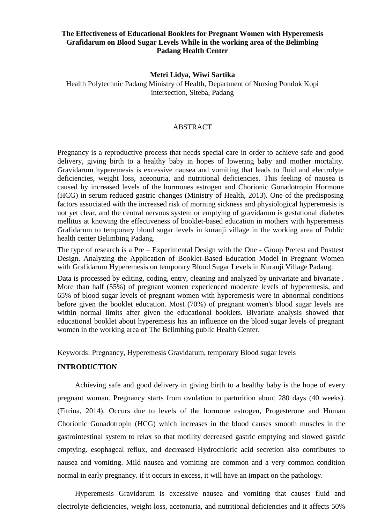# **The Effectiveness of Educational Booklets for Pregnant Women with Hyperemesis Grafidarum on Blood Sugar Levels While in the working area of the Belimbing Padang Health Center**

### **Metri Lidya, Wiwi Sartika**

Health Polytechnic Padang Ministry of Health, Department of Nursing Pondok Kopi intersection, Siteba, Padang

#### ABSTRACT

Pregnancy is a reproductive process that needs special care in order to achieve safe and good delivery, giving birth to a healthy baby in hopes of lowering baby and mother mortality. Gravidarum hyperemesis is excessive nausea and vomiting that leads to fluid and electrolyte deficiencies, weight loss, aceonuria, and nutritional deficiencies. This feeling of nausea is caused by increased levels of the hormones estrogen and Chorionic Gonadotropin Hormone (HCG) in serum reduced gastric changes (Ministry of Health, 2013). One of the predisposing factors associated with the increased risk of morning sickness and physiological hyperemesis is not yet clear, and the central nervous system or emptying of gravidarum is gestational diabetes mellitus at knowing the effectiveness of booklet-based education in mothers with hyperemesis Grafidarum to temporary blood sugar levels in kuranji village in the working area of Public health center Belimbing Padang.

The type of research is a Pre – Experimental Design with the One - Group Pretest and Posttest Design. Analyzing the Application of Booklet-Based Education Model in Pregnant Women with Grafidarum Hyperemesis on temporary Blood Sugar Levels in Kuranji Village Padang.

Data is processed by editing, coding, entry, cleaning and analyzed by univariate and bivariate . More than half (55%) of pregnant women experienced moderate levels of hyperemesis, and 65% of blood sugar levels of pregnant women with hyperemesis were in abnormal conditions before given the booklet education. Most (70%) of pregnant women's blood sugar levels are within normal limits after given the educational booklets. Bivariate analysis showed that educational booklet about hyperemesis has an influence on the blood sugar levels of pregnant women in the working area of The Belimbing public Health Center.

Keywords: Pregnancy, Hyperemesis Gravidarum, temporary Blood sugar levels

## **INTRODUCTION**

Achieving safe and good delivery in giving birth to a healthy baby is the hope of every pregnant woman. Pregnancy starts from ovulation to parturition about 280 days (40 weeks). (Fitrina, 2014). Occurs due to levels of the hormone estrogen, Progesterone and Human Chorionic Gonadotropin (HCG) which increases in the blood causes smooth muscles in the gastrointestinal system to relax so that motility decreased gastric emptying and slowed gastric emptying. esophageal reflux, and decreased Hydrochloric acid secretion also contributes to nausea and vomiting. Mild nausea and vomiting are common and a very common condition normal in early pregnancy. if it occurs in excess, it will have an impact on the pathology.

Hyperemesis Gravidarum is excessive nausea and vomiting that causes fluid and electrolyte deficiencies, weight loss, acetonuria, and nutritional deficiencies and it affects 50%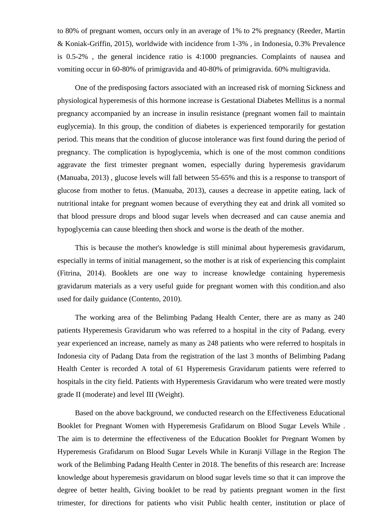to 80% of pregnant women, occurs only in an average of 1% to 2% pregnancy (Reeder, Martin & Koniak-Griffin, 2015), worldwide with incidence from 1-3% , in Indonesia, 0.3% Prevalence is 0.5-2% , the general incidence ratio is 4:1000 pregnancies. Complaints of nausea and vomiting occur in 60-80% of primigravida and 40-80% of primigravida. 60% multigravida.

One of the predisposing factors associated with an increased risk of morning Sickness and physiological hyperemesis of this hormone increase is Gestational Diabetes Mellitus is a normal pregnancy accompanied by an increase in insulin resistance (pregnant women fail to maintain euglycemia). In this group, the condition of diabetes is experienced temporarily for gestation period. This means that the condition of glucose intolerance was first found during the period of pregnancy. The complication is hypoglycemia, which is one of the most common conditions aggravate the first trimester pregnant women, especially during hyperemesis gravidarum (Manuaba, 2013) , glucose levels will fall between 55-65% and this is a response to transport of glucose from mother to fetus. (Manuaba, 2013), causes a decrease in appetite eating, lack of nutritional intake for pregnant women because of everything they eat and drink all vomited so that blood pressure drops and blood sugar levels when decreased and can cause anemia and hypoglycemia can cause bleeding then shock and worse is the death of the mother.

This is because the mother's knowledge is still minimal about hyperemesis gravidarum, especially in terms of initial management, so the mother is at risk of experiencing this complaint (Fitrina, 2014). Booklets are one way to increase knowledge containing hyperemesis gravidarum materials as a very useful guide for pregnant women with this condition.and also used for daily guidance (Contento, 2010).

The working area of the Belimbing Padang Health Center, there are as many as 240 patients Hyperemesis Gravidarum who was referred to a hospital in the city of Padang. every year experienced an increase, namely as many as 248 patients who were referred to hospitals in Indonesia city of Padang Data from the registration of the last 3 months of Belimbing Padang Health Center is recorded A total of 61 Hyperemesis Gravidarum patients were referred to hospitals in the city field. Patients with Hyperemesis Gravidarum who were treated were mostly grade II (moderate) and level III (Weight).

Based on the above background, we conducted research on the Effectiveness Educational Booklet for Pregnant Women with Hyperemesis Grafidarum on Blood Sugar Levels While . The aim is to determine the effectiveness of the Education Booklet for Pregnant Women by Hyperemesis Grafidarum on Blood Sugar Levels While in Kuranji Village in the Region The work of the Belimbing Padang Health Center in 2018. The benefits of this research are: Increase knowledge about hyperemesis gravidarum on blood sugar levels time so that it can improve the degree of better health, Giving booklet to be read by patients pregnant women in the first trimester, for directions for patients who visit Public health center, institution or place of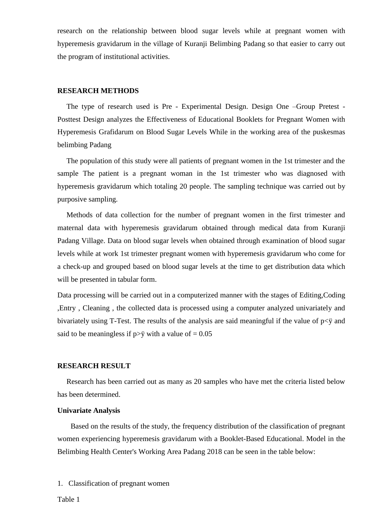research on the relationship between blood sugar levels while at pregnant women with hyperemesis gravidarum in the village of Kuranji Belimbing Padang so that easier to carry out the program of institutional activities.

#### **RESEARCH METHODS**

The type of research used is Pre - Experimental Design. Design One –Group Pretest - Posttest Design analyzes the Effectiveness of Educational Booklets for Pregnant Women with Hyperemesis Grafidarum on Blood Sugar Levels While in the working area of the puskesmas belimbing Padang

The population of this study were all patients of pregnant women in the 1st trimester and the sample The patient is a pregnant woman in the 1st trimester who was diagnosed with hyperemesis gravidarum which totaling 20 people. The sampling technique was carried out by purposive sampling.

Methods of data collection for the number of pregnant women in the first trimester and maternal data with hyperemesis gravidarum obtained through medical data from Kuranji Padang Village. Data on blood sugar levels when obtained through examination of blood sugar levels while at work 1st trimester pregnant women with hyperemesis gravidarum who come for a check-up and grouped based on blood sugar levels at the time to get distribution data which will be presented in tabular form.

Data processing will be carried out in a computerized manner with the stages of Editing,Coding ,Entry , Cleaning , the collected data is processed using a computer analyzed univariately and bivariately using T-Test. The results of the analysis are said meaningful if the value of p<ÿ and said to be meaningless if  $p > \ddot{y}$  with a value of = 0.05

#### **RESEARCH RESULT**

Research has been carried out as many as 20 samples who have met the criteria listed below has been determined.

### **Univariate Analysis**

Based on the results of the study, the frequency distribution of the classification of pregnant women experiencing hyperemesis gravidarum with a Booklet-Based Educational. Model in the Belimbing Health Center's Working Area Padang 2018 can be seen in the table below:

1. Classification of pregnant women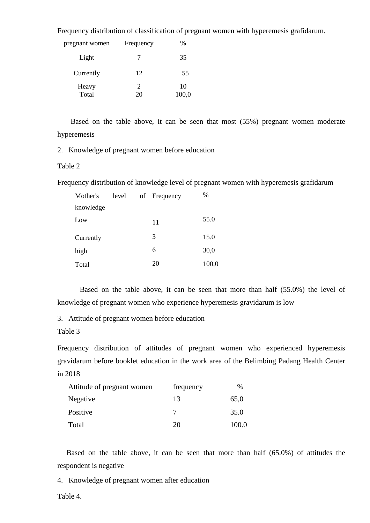Frequency distribution of classification of pregnant women with hyperemesis grafidarum.

| pregnant women | Frequency            | $\frac{6}{9}$ |
|----------------|----------------------|---------------|
| Light          | 7                    | 35            |
| Currently      | 12                   | 55            |
| Heavy<br>Total | $\overline{2}$<br>20 | 10<br>100,0   |

Based on the table above, it can be seen that most (55%) pregnant women moderate hyperemesis

2. Knowledge of pregnant women before education

## Table 2

Frequency distribution of knowledge level of pregnant women with hyperemesis grafidarum

| Mother's  | level | of Frequency | %     |
|-----------|-------|--------------|-------|
| knowledge |       |              |       |
| Low       |       | 11           | 55.0  |
| Currently |       | 3            | 15.0  |
| high      |       | 6            | 30,0  |
| Total     |       | 20           | 100,0 |

Based on the table above, it can be seen that more than half (55.0%) the level of knowledge of pregnant women who experience hyperemesis gravidarum is low

3. Attitude of pregnant women before education

Table 3

Frequency distribution of attitudes of pregnant women who experienced hyperemesis gravidarum before booklet education in the work area of the Belimbing Padang Health Center in 2018

| Attitude of pregnant women | frequency | $\%$  |
|----------------------------|-----------|-------|
| Negative                   | 13        | 65,0  |
| Positive                   |           | 35.0  |
| Total                      | 20        | 100.0 |

Based on the table above, it can be seen that more than half (65.0%) of attitudes the respondent is negative

4. Knowledge of pregnant women after education

Table 4.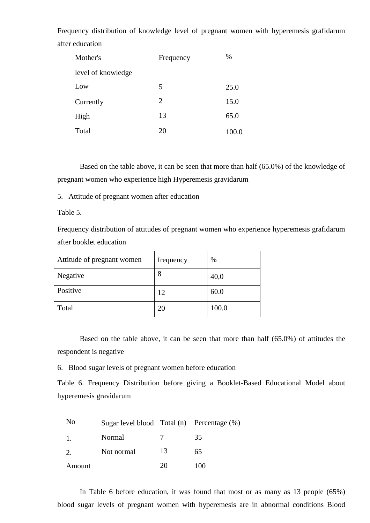Frequency distribution of knowledge level of pregnant women with hyperemesis grafidarum after education

| Mother's           | Frequency | $\%$  |
|--------------------|-----------|-------|
| level of knowledge |           |       |
| Low                | 5         | 25.0  |
| Currently          | 2         | 15.0  |
| High               | 13        | 65.0  |
| Total              | 20        | 100.0 |

Based on the table above, it can be seen that more than half (65.0%) of the knowledge of pregnant women who experience high Hyperemesis gravidarum

5. Attitude of pregnant women after education

Table 5.

Frequency distribution of attitudes of pregnant women who experience hyperemesis grafidarum after booklet education

| Attitude of pregnant women | frequency | %     |
|----------------------------|-----------|-------|
| Negative                   | 8         | 40,0  |
| Positive                   | 12        | 60.0  |
| Total                      | 20        | 100.0 |

Based on the table above, it can be seen that more than half (65.0%) of attitudes the respondent is negative

6. Blood sugar levels of pregnant women before education

Table 6. Frequency Distribution before giving a Booklet-Based Educational Model about hyperemesis gravidarum

| N <sub>0</sub> | Sugar level blood Total (n) Percentage (%) |    |     |
|----------------|--------------------------------------------|----|-----|
| $\mathbf{1}$   | Normal                                     |    | 35  |
| 2.             | Not normal                                 | 13 | 65  |
| Amount         |                                            | 20 | 100 |

In Table 6 before education, it was found that most or as many as 13 people (65%) blood sugar levels of pregnant women with hyperemesis are in abnormal conditions Blood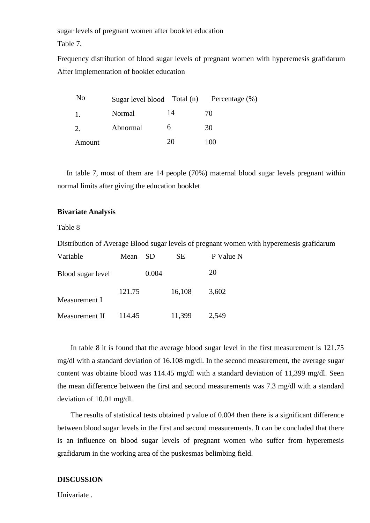sugar levels of pregnant women after booklet education

Table 7.

Frequency distribution of blood sugar levels of pregnant women with hyperemesis grafidarum After implementation of booklet education

| No     |          |    | Sugar level blood Total (n) Percentage (%) |
|--------|----------|----|--------------------------------------------|
| 1.     | Normal   | 14 | 70                                         |
| 2.     | Abnormal | h  | 30                                         |
| Amount |          | 20 | 100                                        |

In table 7, most of them are 14 people (70%) maternal blood sugar levels pregnant within normal limits after giving the education booklet

## **Bivariate Analysis**

Table 8

Distribution of Average Blood sugar levels of pregnant women with hyperemesis grafidarum

| Variable          | Mean   | <b>SD</b> | SЕ     | P Value N |
|-------------------|--------|-----------|--------|-----------|
| Blood sugar level |        | 0.004     |        | 20        |
| Measurement I     | 121.75 |           | 16,108 | 3,602     |
| Measurement II    | 114.45 |           | 11,399 | 2,549     |

In table 8 it is found that the average blood sugar level in the first measurement is 121.75 mg/dl with a standard deviation of 16.108 mg/dl. In the second measurement, the average sugar content was obtaine blood was 114.45 mg/dl with a standard deviation of 11,399 mg/dl. Seen the mean difference between the first and second measurements was 7.3 mg/dl with a standard deviation of 10.01 mg/dl.

The results of statistical tests obtained p value of 0.004 then there is a significant difference between blood sugar levels in the first and second measurements. It can be concluded that there is an influence on blood sugar levels of pregnant women who suffer from hyperemesis grafidarum in the working area of the puskesmas belimbing field.

## **DISCUSSION**

Univariate .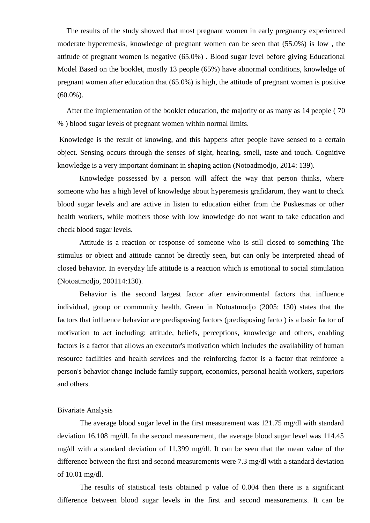The results of the study showed that most pregnant women in early pregnancy experienced moderate hyperemesis, knowledge of pregnant women can be seen that (55.0%) is low , the attitude of pregnant women is negative (65.0%) . Blood sugar level before giving Educational Model Based on the booklet, mostly 13 people (65%) have abnormal conditions, knowledge of pregnant women after education that (65.0%) is high, the attitude of pregnant women is positive  $(60.0\%)$ .

After the implementation of the booklet education, the majority or as many as 14 people ( 70 % ) blood sugar levels of pregnant women within normal limits.

Knowledge is the result of knowing, and this happens after people have sensed to a certain object. Sensing occurs through the senses of sight, hearing, smell, taste and touch. Cognitive knowledge is a very important dominant in shaping action (Notoadmodjo, 2014: 139).

Knowledge possessed by a person will affect the way that person thinks, where someone who has a high level of knowledge about hyperemesis grafidarum, they want to check blood sugar levels and are active in listen to education either from the Puskesmas or other health workers, while mothers those with low knowledge do not want to take education and check blood sugar levels.

Attitude is a reaction or response of someone who is still closed to something The stimulus or object and attitude cannot be directly seen, but can only be interpreted ahead of closed behavior. In everyday life attitude is a reaction which is emotional to social stimulation (Notoatmodjo, 200114:130).

Behavior is the second largest factor after environmental factors that influence individual, group or community health. Green in Notoatmodjo (2005: 130) states that the factors that influence behavior are predisposing factors (predisposing facto ) is a basic factor of motivation to act including: attitude, beliefs, perceptions, knowledge and others, enabling factors is a factor that allows an executor's motivation which includes the availability of human resource facilities and health services and the reinforcing factor is a factor that reinforce a person's behavior change include family support, economics, personal health workers, superiors and others.

#### Bivariate Analysis

The average blood sugar level in the first measurement was 121.75 mg/dl with standard deviation 16.108 mg/dl. In the second measurement, the average blood sugar level was 114.45 mg/dl with a standard deviation of 11,399 mg/dl. It can be seen that the mean value of the difference between the first and second measurements were 7.3 mg/dl with a standard deviation of 10.01 mg/dl.

The results of statistical tests obtained p value of 0.004 then there is a significant difference between blood sugar levels in the first and second measurements. It can be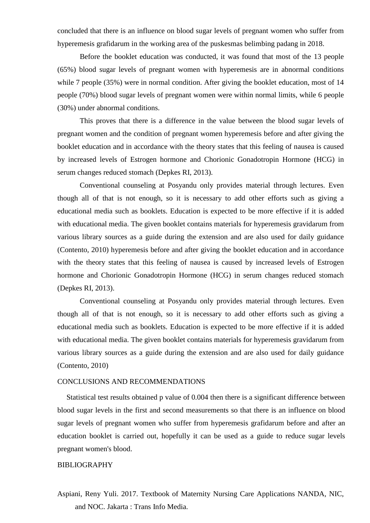concluded that there is an influence on blood sugar levels of pregnant women who suffer from hyperemesis grafidarum in the working area of the puskesmas belimbing padang in 2018.

Before the booklet education was conducted, it was found that most of the 13 people (65%) blood sugar levels of pregnant women with hyperemesis are in abnormal conditions while 7 people (35%) were in normal condition. After giving the booklet education, most of 14 people (70%) blood sugar levels of pregnant women were within normal limits, while 6 people (30%) under abnormal conditions.

This proves that there is a difference in the value between the blood sugar levels of pregnant women and the condition of pregnant women hyperemesis before and after giving the booklet education and in accordance with the theory states that this feeling of nausea is caused by increased levels of Estrogen hormone and Chorionic Gonadotropin Hormone (HCG) in serum changes reduced stomach (Depkes RI, 2013).

Conventional counseling at Posyandu only provides material through lectures. Even though all of that is not enough, so it is necessary to add other efforts such as giving a educational media such as booklets. Education is expected to be more effective if it is added with educational media. The given booklet contains materials for hyperemesis gravidarum from various library sources as a guide during the extension and are also used for daily guidance (Contento, 2010) hyperemesis before and after giving the booklet education and in accordance with the theory states that this feeling of nausea is caused by increased levels of Estrogen hormone and Chorionic Gonadotropin Hormone (HCG) in serum changes reduced stomach (Depkes RI, 2013).

Conventional counseling at Posyandu only provides material through lectures. Even though all of that is not enough, so it is necessary to add other efforts such as giving a educational media such as booklets. Education is expected to be more effective if it is added with educational media. The given booklet contains materials for hyperemesis gravidarum from various library sources as a guide during the extension and are also used for daily guidance (Contento, 2010)

#### CONCLUSIONS AND RECOMMENDATIONS

Statistical test results obtained p value of 0.004 then there is a significant difference between blood sugar levels in the first and second measurements so that there is an influence on blood sugar levels of pregnant women who suffer from hyperemesis grafidarum before and after an education booklet is carried out, hopefully it can be used as a guide to reduce sugar levels pregnant women's blood.

#### BIBLIOGRAPHY

Aspiani, Reny Yuli. 2017. Textbook of Maternity Nursing Care Applications NANDA, NIC, and NOC. Jakarta : Trans Info Media.